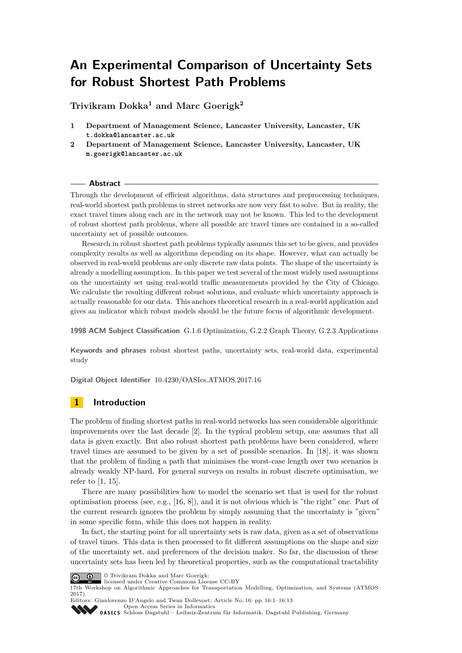# **An Experimental Comparison of Uncertainty Sets for Robust Shortest Path Problems**

**Trivikram Dokka<sup>1</sup> and Marc Goerigk<sup>2</sup>**

- **1 Department of Management Science, Lancaster University, Lancaster, UK t.dokka@lancaster.ac.uk**
- **2 Department of Management Science, Lancaster University, Lancaster, UK m.goerigk@lancaster.ac.uk**

## **Abstract**

Through the development of efficient algorithms, data structures and preprocessing techniques, real-world shortest path problems in street networks are now very fast to solve. But in reality, the exact travel times along each arc in the network may not be known. This led to the development of robust shortest path problems, where all possible arc travel times are contained in a so-called uncertainty set of possible outcomes.

Research in robust shortest path problems typically assumes this set to be given, and provides complexity results as well as algorithms depending on its shape. However, what can actually be observed in real-world problems are only discrete raw data points. The shape of the uncertainty is already a modelling assumption. In this paper we test several of the most widely used assumptions on the uncertainty set using real-world traffic measurements provided by the City of Chicago. We calculate the resulting different robust solutions, and evaluate which uncertainty approach is actually reasonable for our data. This anchors theoretical research in a real-world application and gives an indicator which robust models should be the future focus of algorithmic development.

**1998 ACM Subject Classification** G.1.6 Optimization, G.2.2 Graph Theory, G.2.3 Applications

**Keywords and phrases** robust shortest paths, uncertainty sets, real-world data, experimental study

**Digital Object Identifier** [10.4230/OASIcs.ATMOS.2017.16](http://dx.doi.org/10.4230/OASIcs.ATMOS.2017.16)

# **1 Introduction**

The problem of finding shortest paths in real-world networks has seen considerable algorithmic improvements over the last decade [\[2\]](#page-11-0). In the typical problem setup, one assumes that all data is given exactly. But also robust shortest path problems have been considered, where travel times are assumed to be given by a set of possible scenarios. In [\[18\]](#page-12-0), it was shown that the problem of finding a path that minimises the worst-case length over two scenarios is already weakly NP-hard. For general surveys on results in robust discrete optimisation, we refer to [\[1,](#page-11-1) [15\]](#page-11-2).

There are many possibilities how to model the scenario set that is used for the robust optimisation process (see, e.g., [\[16,](#page-12-1) [8\]](#page-11-3)), and it is not obvious which is "the right" one. Part of the current research ignores the problem by simply assuming that the uncertainty is "given" in some specific form, while this does not happen in reality.

In fact, the starting point for all uncertainty sets is raw data, given as a set of observations of travel times. This data is then processed to fit different assumptions on the shape and size of the uncertainty set, and preferences of the decision maker. So far, the discussion of these uncertainty sets has been led by theoretical properties, such as the computational tractability



© Trivikram Dokka and Marc Goerigk;

licensed under Creative Commons License CC-BY

17th Workshop on Algorithmic Approaches for Transportation Modelling, Optimization, and Systems (ATMOS 2017).

Editors: Gianlorenzo D'Angelo and Twan Dollevoet; Article No. 16; pp. 16:1–16[:13](#page-12-2) [Open Access Series in Informatics](http://www.dagstuhl.de/oasics/)

0ASICS [Schloss Dagstuhl – Leibniz-Zentrum für Informatik, Dagstuhl Publishing, Germany](http://www.dagstuhl.de)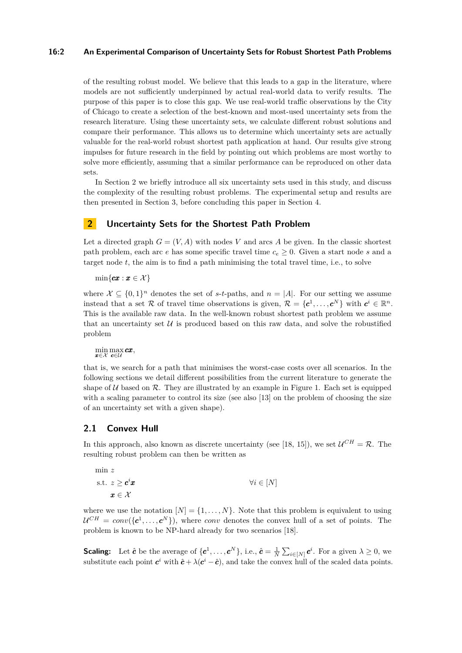#### **16:2 An Experimental Comparison of Uncertainty Sets for Robust Shortest Path Problems**

of the resulting robust model. We believe that this leads to a gap in the literature, where models are not sufficiently underpinned by actual real-world data to verify results. The purpose of this paper is to close this gap. We use real-world traffic observations by the City of Chicago to create a selection of the best-known and most-used uncertainty sets from the research literature. Using these uncertainty sets, we calculate different robust solutions and compare their performance. This allows us to determine which uncertainty sets are actually valuable for the real-world robust shortest path application at hand. Our results give strong impulses for future research in the field by pointing out which problems are most worthy to solve more efficiently, assuming that a similar performance can be reproduced on other data sets.

In Section [2](#page-1-0) we briefly introduce all six uncertainty sets used in this study, and discuss the complexity of the resulting robust problems. The experimental setup and results are then presented in Section [3,](#page-6-0) before concluding this paper in Section [4.](#page-10-0)

# <span id="page-1-0"></span>**2 Uncertainty Sets for the Shortest Path Problem**

Let a directed graph  $G = (V, A)$  with nodes V and arcs A be given. In the classic shortest path problem, each arc *e* has some specific travel time  $c_e \geq 0$ . Given a start node *s* and a target node *t*, the aim is to find a path minimising the total travel time, i.e., to solve

 $\min\{cx : x \in \mathcal{X}\}\$ 

where  $\mathcal{X} \subseteq \{0,1\}^n$  denotes the set of *s*-*t*-paths, and  $n = |A|$ . For our setting we assume instead that a set R of travel time observations is given,  $\mathcal{R} = \{c^1, \ldots, c^N\}$  with  $c^i \in \mathbb{R}^n$ . This is the available raw data. In the well-known robust shortest path problem we assume that an uncertainty set  $U$  is produced based on this raw data, and solve the robustified problem

min max **cx**,<br>**x**∈X **c**∈U

that is, we search for a path that minimises the worst-case costs over all scenarios. In the following sections we detail different possibilities from the current literature to generate the shape of  $U$  based on  $\mathcal R$ . They are illustrated by an example in Figure [1.](#page-5-0) Each set is equipped with a scaling parameter to control its size (see also [\[13\]](#page-11-4) on the problem of choosing the size of an uncertainty set with a given shape).

# **2.1 Convex Hull**

In this approach, also known as discrete uncertainty (see [\[18,](#page-12-0) [15\]](#page-11-2)), we set  $\mathcal{U}^{CH} = \mathcal{R}$ . The resulting robust problem can then be written as

$$
\min z
$$
\n
$$
\text{s.t. } z \geq \mathbf{c}^i \mathbf{x} \qquad \forall i \in [N]
$$
\n
$$
\mathbf{x} \in \mathcal{X}
$$

where we use the notation  $[N] = \{1, \ldots, N\}$ . Note that this problem is equivalent to using  $\mathcal{U}^{CH} = conv(\{\mathbf{c}^1, \ldots, \mathbf{c}^N\})$ , where *conv* denotes the convex hull of a set of points. The problem is known to be NP-hard already for two scenarios [\[18\]](#page-12-0).

**Scaling:** Let  $\hat{\boldsymbol{c}}$  be the average of  $\{\boldsymbol{c}^1,\ldots,\boldsymbol{c}^N\}$ , i.e.,  $\hat{\boldsymbol{c}} = \frac{1}{N} \sum_{i \in [N]} \boldsymbol{c}^i$ . For a given  $\lambda \geq 0$ , we substitute each point  $c^i$  with  $\hat{c} + \lambda(c^i - \hat{c})$ , and take the convex hull of the scaled data points.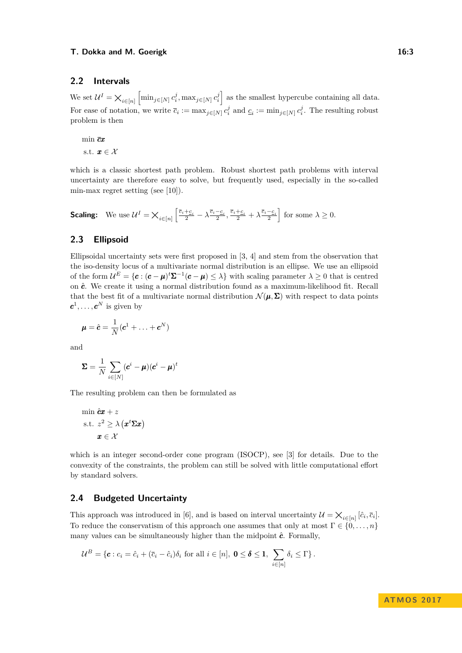## **2.2 Intervals**

We set  $\mathcal{U}^I = \mathsf{X}_{i \in [n]} \left[ \min_{j \in [N]} c_i^j, \max_{j \in [N]} c_i^j \right]$  as the smallest hypercube containing all data. For ease of notation, we write  $\bar{c}_i := \max_{j \in [N]} c_i^j$  and  $c_i := \min_{j \in [N]} c_i^j$ . The resulting robust problem is then

min *cx* s.t.  $x \in \mathcal{X}$ 

which is a classic shortest path problem. Robust shortest path problems with interval uncertainty are therefore easy to solve, but frequently used, especially in the so-called min-max regret setting (see [\[10\]](#page-11-5)).

**Scaling:** We use  $\mathcal{U}^I = \mathsf{X}_{i \in [n]} \left[ \frac{\overline{c}_i + c_i}{2} - \lambda \frac{\overline{c}_i - c_i}{2}, \frac{\overline{c}_i + c_i}{2} + \lambda \frac{\overline{c}_i - c_i}{2} \right]$  for some  $\lambda \geq 0$ .

# **2.3 Ellipsoid**

Ellipsoidal uncertainty sets were first proposed in [\[3,](#page-11-6) [4\]](#page-11-7) and stem from the observation that the iso-density locus of a multivariate normal distribution is an ellipse. We use an ellipsoid of the form  $\mathcal{U}^E = \{c : (c - \mu)^t \Sigma^{-1} (c - \mu) \leq \lambda\}$  with scaling parameter  $\lambda \geq 0$  that is centred on  $\hat{c}$ . We create it using a normal distribution found as a maximum-likelihood fit. Recall that the best fit of a multivariate normal distribution  $\mathcal{N}(\mu, \Sigma)$  with respect to data points  $c^1, \ldots, c^N$  is given by

$$
\boldsymbol{\mu} = \hat{\boldsymbol{c}} = \frac{1}{N}(\boldsymbol{c}^1 + \ldots + \boldsymbol{c}^N)
$$

and

$$
\boldsymbol{\Sigma} = \frac{1}{N} \sum_{i \in [N]} (\boldsymbol{c}^i - \boldsymbol{\mu}) (\boldsymbol{c}^i - \boldsymbol{\mu})^t
$$

The resulting problem can then be formulated as

$$
\min \hat{c}x + z
$$
\n
$$
\text{s.t. } z^2 \ge \lambda (x^t \Sigma x)
$$
\n
$$
x \in \mathcal{X}
$$

which is an integer second-order cone program (ISOCP), see [\[3\]](#page-11-6) for details. Due to the convexity of the constraints, the problem can still be solved with little computational effort by standard solvers.

## **2.4 Budgeted Uncertainty**

This approach was introduced in [\[6\]](#page-11-8), and is based on interval uncertainty  $\mathcal{U} = \mathsf{X}_{i \in [n]} [\hat{c}_i, \overline{c}_i]$ . To reduce the conservatism of this approach one assumes that only at most  $\Gamma \in \{0, \ldots, n\}$ many values can be simultaneously higher than the midpoint  $\hat{c}$ . Formally,

$$
\mathcal{U}^B = \{ \pmb{c} : c_i = \hat{c}_i + (\overline{c}_i - \hat{c}_i)\delta_i \text{ for all } i \in [n], \ \pmb{0} \leq \pmb{\delta} \leq \pmb{1}, \ \sum_{i \in [n]} \delta_i \leq \Gamma \}.
$$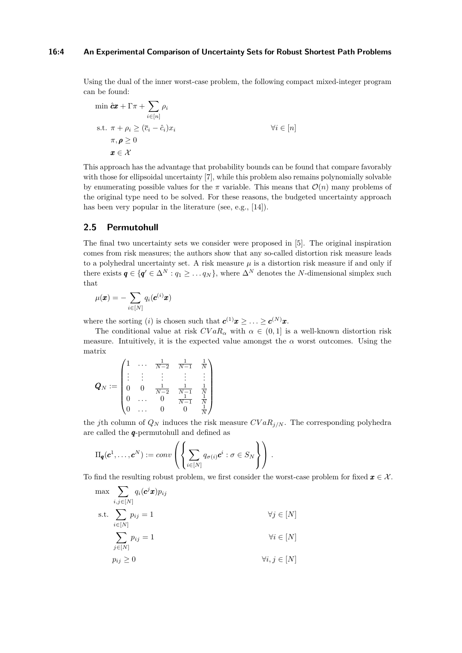#### **16:4 An Experimental Comparison of Uncertainty Sets for Robust Shortest Path Problems**

Using the dual of the inner worst-case problem, the following compact mixed-integer program can be found:

$$
\min \hat{c} \mathbf{x} + \Gamma \pi + \sum_{i \in [n]} \rho_i
$$
\n
$$
\text{s.t. } \pi + \rho_i \ge (\bar{c}_i - \hat{c}_i)x_i
$$
\n
$$
\pi, \rho \ge 0
$$
\n
$$
\mathbf{x} \in \mathcal{X}
$$
\nwhere  $i$  and  $i$  are the following matrices:

\n
$$
\forall i \in [n]
$$

This approach has the advantage that probability bounds can be found that compare favorably with those for ellipsoidal uncertainty [\[7\]](#page-11-9), while this problem also remains polynomially solvable by enumerating possible values for the  $\pi$  variable. This means that  $\mathcal{O}(n)$  many problems of the original type need to be solved. For these reasons, the budgeted uncertainty approach has been very popular in the literature (see, e.g., [\[14\]](#page-11-10)).

## **2.5 Permutohull**

The final two uncertainty sets we consider were proposed in [\[5\]](#page-11-11). The original inspiration comes from risk measures; the authors show that any so-called distortion risk measure leads to a polyhedral uncertainty set. A risk measure  $\mu$  is a distortion risk measure if and only if there exists  $q \in \{q' \in \Delta^N : q_1 \geq \ldots q_N\}$ , where  $\Delta^N$  denotes the *N*-dimensional simplex such that

$$
\mu(\pmb{x}) = -\sum_{i \in [N]} q_i(\pmb{c}^{(i)}\pmb{x})
$$

where the sorting (*i*) is chosen such that  $c^{(1)}x \geq \ldots \geq c^{(N)}x$ .

The conditional value at risk  $CVaR_\alpha$  with  $\alpha \in (0,1]$  is a well-known distortion risk measure. Intuitively, it is the expected value amongst the  $\alpha$  worst outcomes. Using the matrix

$$
\boldsymbol{Q}_N := \begin{pmatrix} 1 & \dots & \frac{1}{N-2} & \frac{1}{N-1} & \frac{1}{N} \\ \vdots & \vdots & \vdots & \vdots & \vdots \\ 0 & 0 & \frac{1}{N-2} & \frac{1}{N-1} & \frac{1}{N} \\ 0 & \dots & 0 & \frac{1}{N-1} & \frac{1}{N} \\ 0 & \dots & 0 & 0 & \frac{1}{N} \end{pmatrix}
$$

the *j*th column of  $Q_N$  induces the risk measure  $CVaR_j$ . The corresponding polyhedra are called the *q*-permutohull and defined as

$$
\Pi_{\boldsymbol{q}}(\boldsymbol{c}^1,\ldots,\boldsymbol{c}^N):=conv\left(\left\{\sum_{i\in[N]}q_{\sigma(i)}\boldsymbol{c}^i:\sigma\in S_N\right\}\right).
$$

To find the resulting robust problem, we first consider the worst-case problem for fixed  $x \in \mathcal{X}$ .

$$
\max \sum_{i,j \in [N]} q_i(\mathbf{c}^j \mathbf{x}) p_{ij}
$$
\n
$$
\text{s.t.} \sum_{i \in [N]} p_{ij} = 1 \qquad \qquad \forall j \in [N]
$$

$$
\sum_{j \in [N]} p_{ij} = 1 \qquad \qquad \forall i \in [N]
$$

$$
p_{ij} \ge 0 \qquad \qquad \forall i, j \in [N]
$$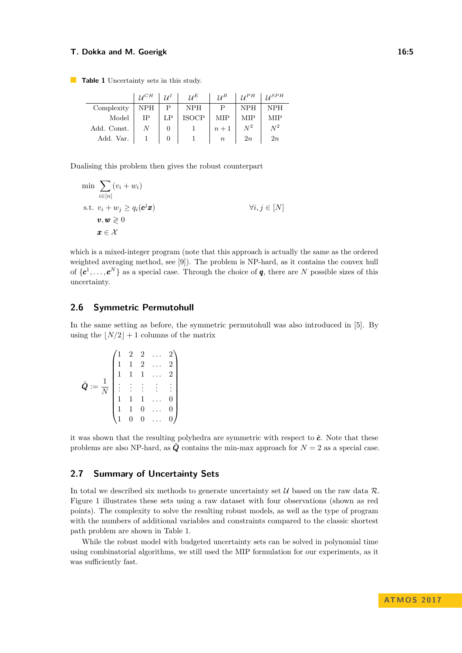#### **T. Dokka and M. Goerigk 16:5** and the state of the state of the state 16:5

<span id="page-4-0"></span>**Table 1** Uncertainty sets in this study.

|             | $\mathcal{U}^{CH}$ | $11^I$ | $7I^E$       | 1/B              | $1I^{\rho H}$ | 1/SPH |
|-------------|--------------------|--------|--------------|------------------|---------------|-------|
| Complexity  | NPH                | Р      | <b>NPH</b>   | D                | <b>NPH</b>    | NPH   |
| Model       | IΡ                 | LP     | <b>ISOCP</b> | <b>MIP</b>       | MIP           | MIP   |
| Add. Const. | N                  | 0      |              | $n+1$            | $N^2$         | $N^2$ |
| Add. Var.   |                    | 0      |              | $\boldsymbol{n}$ | 2n            | 2n    |

Dualising this problem then gives the robust counterpart

$$
\min \sum_{i \in [n]} (v_i + w_i)
$$
\n
$$
\text{s.t. } v_i + w_j \ge q_i(\mathbf{c}^j \mathbf{x})
$$
\n
$$
\mathbf{v}, \mathbf{w} \ge 0
$$
\n
$$
\mathbf{x} \in \mathcal{X}
$$
\n
$$
\forall i, j \in [N]
$$

which is a mixed-integer program (note that this approach is actually the same as the ordered weighted averaging method, see [\[9\]](#page-11-12)). The problem is NP-hard, as it contains the convex hull of  $\{\boldsymbol{c}^1,\ldots,\boldsymbol{c}^N\}$  as a special case. Through the choice of **q**, there are *N* possible sizes of this uncertainty.

#### **2.6 Symmetric Permutohull**

In the same setting as before, the symmetric permutohull was also introduced in [\[5\]](#page-11-11). By using the  $|N/2|+1$  columns of the matrix

$$
\tilde{Q} := \frac{1}{N} \begin{pmatrix} 1 & 2 & 2 & \dots & 2 \\ 1 & 1 & 2 & \dots & 2 \\ 1 & 1 & 1 & \dots & 2 \\ \vdots & \vdots & \vdots & \vdots & \vdots \\ 1 & 1 & 1 & \dots & 0 \\ 1 & 1 & 0 & \dots & 0 \\ 1 & 0 & 0 & \dots & 0 \end{pmatrix}
$$

it was shown that the resulting polyhedra are symmetric with respect to  $\hat{c}$ . Note that these problems are also NP-hard, as  $\tilde{Q}$  contains the min-max approach for  $N = 2$  as a special case.

## **2.7 Summary of Uncertainty Sets**

In total we described six methods to generate uncertainty set  $U$  based on the raw data  $\mathcal{R}$ . Figure [1](#page-5-0) illustrates these sets using a raw dataset with four observations (shown as red points). The complexity to solve the resulting robust models, as well as the type of program with the numbers of additional variables and constraints compared to the classic shortest path problem are shown in Table [1.](#page-4-0)

While the robust model with budgeted uncertainty sets can be solved in polynomial time using combinatorial algorithms, we still used the MIP formulation for our experiments, as it was sufficiently fast.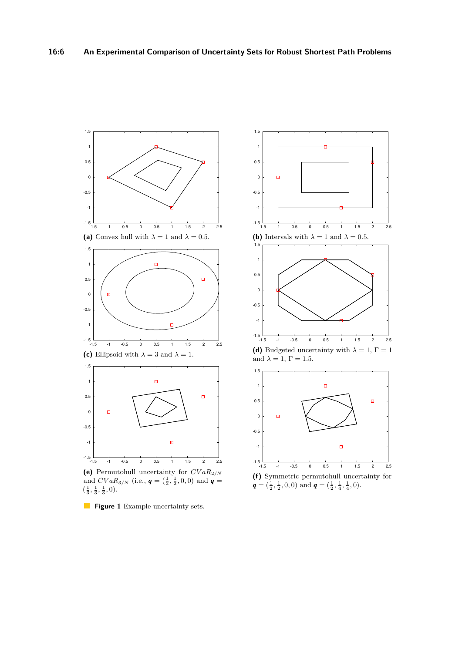<span id="page-5-0"></span>

**(e)** Permutohull uncertainty for *CV aR*2*/N* and  $CVaR_{3/N}$  (i.e.,  $q = (\frac{1}{2}, \frac{1}{2}, 0, 0)$  and  $q =$  $\left(\frac{1}{3}, \frac{1}{3}, \frac{1}{3}, 0\right)$ .



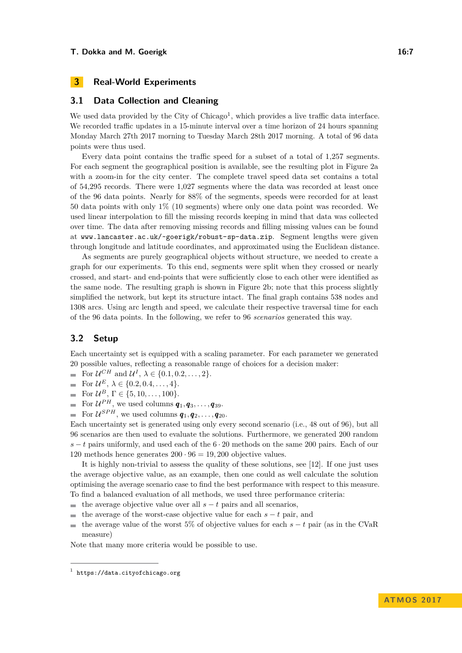# <span id="page-6-0"></span>**3 Real-World Experiments**

## **3.1 Data Collection and Cleaning**

We used data provided by the City of  $\text{Chicago}^1$  $\text{Chicago}^1$ , which provides a live traffic data interface. We recorded traffic updates in a 15-minute interval over a time horizon of 24 hours spanning Monday March 27th 2017 morning to Tuesday March 28th 2017 morning. A total of 96 data points were thus used.

Every data point contains the traffic speed for a subset of a total of 1,257 segments. For each segment the geographical position is available, see the resulting plot in Figure [2a](#page-7-0) with a zoom-in for the city center. The complete travel speed data set contains a total of 54,295 records. There were 1,027 segments where the data was recorded at least once of the 96 data points. Nearly for 88% of the segments, speeds were recorded for at least 50 data points with only 1% (10 segments) where only one data point was recorded. We used linear interpolation to fill the missing records keeping in mind that data was collected over time. The data after removing missing records and filling missing values can be found at <www.lancaster.ac.uk/~goerigk/robust-sp-data.zip>. Segment lengths were given through longitude and latitude coordinates, and approximated using the Euclidean distance.

As segments are purely geographical objects without structure, we needed to create a graph for our experiments. To this end, segments were split when they crossed or nearly crossed, and start- and end-points that were sufficiently close to each other were identified as the same node. The resulting graph is shown in Figure [2b;](#page-7-0) note that this process slightly simplified the network, but kept its structure intact. The final graph contains 538 nodes and 1308 arcs. Using arc length and speed, we calculate their respective traversal time for each of the 96 data points. In the following, we refer to 96 *scenarios* generated this way.

# **3.2 Setup**

Each uncertainty set is equipped with a scaling parameter. For each parameter we generated 20 possible values, reflecting a reasonable range of choices for a decision maker:

- For  $\mathcal{U}^{CH}$  and  $\mathcal{U}^{I}$ ,  $\lambda \in \{0.1, 0.2, \ldots, 2\}.$
- For  $U^E$ ,  $\lambda \in \{0.2, 0.4, ..., 4\}$ .  $\blacksquare$
- $\overline{a}$ For  $\mathcal{U}^{B}$ ,  $\Gamma \in \{5, 10, ..., 100\}.$
- For  $\mathcal{U}^{PH}$ , we used columns  $q_1, q_3, \ldots, q_{39}$ .  $\blacksquare$
- For  $\mathcal{U}^{SPH}$ , we used columns  $\boldsymbol{q}_1, \boldsymbol{q}_2, \ldots, \boldsymbol{q}_{20}$ .  $\overline{a}$

Each uncertainty set is generated using only every second scenario (i.e., 48 out of 96), but all 96 scenarios are then used to evaluate the solutions. Furthermore, we generated 200 random *s* − *t* pairs uniformly, and used each of the 6 · 20 methods on the same 200 pairs. Each of our 120 methods hence generates  $200 \cdot 96 = 19,200$  objective values.

It is highly non-trivial to assess the quality of these solutions, see [\[12\]](#page-11-13). If one just uses the average objective value, as an example, then one could as well calculate the solution optimising the average scenario case to find the best performance with respect to this measure. To find a balanced evaluation of all methods, we used three performance criteria:

- the average objective value over all  $s t$  pairs and all scenarios,  $\blacksquare$
- the average of the worst-case objective value for each  $s t$  pair, and  $\blacksquare$
- the average value of the worst 5% of objective values for each *s* − *t* pair (as in the CVaR  $\overline{\phantom{a}}$ measure)

Note that many more criteria would be possible to use.

<span id="page-6-1"></span> $<sup>1</sup>$  <https://data.cityofchicago.org></sup>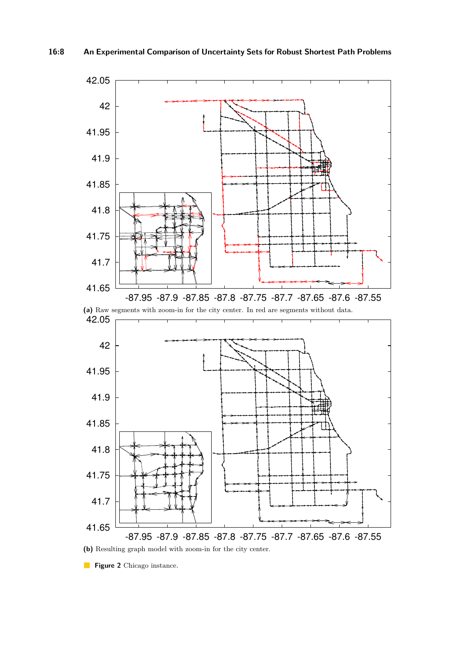<span id="page-7-0"></span>

**Figure 2** Chicago instance.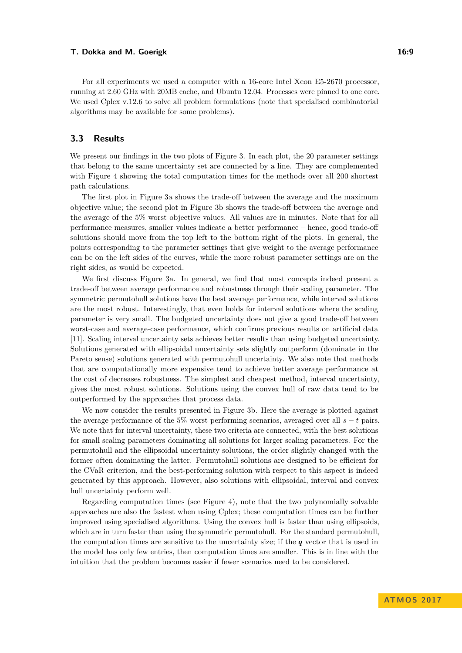#### **T. Dokka and M. Goerigk 16:9**

For all experiments we used a computer with a 16-core Intel Xeon E5-2670 processor, running at 2.60 GHz with 20MB cache, and Ubuntu 12.04. Processes were pinned to one core. We used Cplex v.12.6 to solve all problem formulations (note that specialised combinatorial algorithms may be available for some problems).

# **3.3 Results**

We present our findings in the two plots of Figure [3.](#page-9-0) In each plot, the 20 parameter settings that belong to the same uncertainty set are connected by a line. They are complemented with Figure [4](#page-10-1) showing the total computation times for the methods over all 200 shortest path calculations.

The first plot in Figure [3a](#page-9-0) shows the trade-off between the average and the maximum objective value; the second plot in Figure [3b](#page-9-0) shows the trade-off between the average and the average of the 5% worst objective values. All values are in minutes. Note that for all performance measures, smaller values indicate a better performance – hence, good trade-off solutions should move from the top left to the bottom right of the plots. In general, the points corresponding to the parameter settings that give weight to the average performance can be on the left sides of the curves, while the more robust parameter settings are on the right sides, as would be expected.

We first discuss Figure [3a.](#page-9-0) In general, we find that most concepts indeed present a trade-off between average performance and robustness through their scaling parameter. The symmetric permutohull solutions have the best average performance, while interval solutions are the most robust. Interestingly, that even holds for interval solutions where the scaling parameter is very small. The budgeted uncertainty does not give a good trade-off between worst-case and average-case performance, which confirms previous results on artificial data [\[11\]](#page-11-14). Scaling interval uncertainty sets achieves better results than using budgeted uncertainty. Solutions generated with ellipsoidal uncertainty sets slightly outperform (dominate in the Pareto sense) solutions generated with permutohull uncertainty. We also note that methods that are computationally more expensive tend to achieve better average performance at the cost of decreases robustness. The simplest and cheapest method, interval uncertainty, gives the most robust solutions. Solutions using the convex hull of raw data tend to be outperformed by the approaches that process data.

We now consider the results presented in Figure [3b.](#page-9-0) Here the average is plotted against the average performance of the 5% worst performing scenarios, averaged over all *s* − *t* pairs. We note that for interval uncertainty, these two criteria are connected, with the best solutions for small scaling parameters dominating all solutions for larger scaling parameters. For the permutohull and the ellipsoidal uncertainty solutions, the order slightly changed with the former often dominating the latter. Permutohull solutions are designed to be efficient for the CVaR criterion, and the best-performing solution with respect to this aspect is indeed generated by this approach. However, also solutions with ellipsoidal, interval and convex hull uncertainty perform well.

Regarding computation times (see Figure [4\)](#page-10-1), note that the two polynomially solvable approaches are also the fastest when using Cplex; these computation times can be further improved using specialised algorithms. Using the convex hull is faster than using ellipsoids, which are in turn faster than using the symmetric permutohull. For the standard permutohull, the computation times are sensitive to the uncertainty size; if the *q* vector that is used in the model has only few entries, then computation times are smaller. This is in line with the intuition that the problem becomes easier if fewer scenarios need to be considered.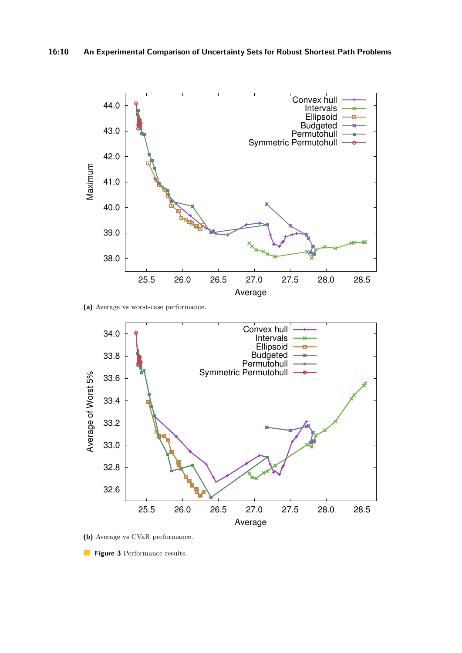<span id="page-9-0"></span>

**(a)** Average vs worst-case performance.



- **(b)** Average vs CVaR performance.
- **Figure 3** Performance results.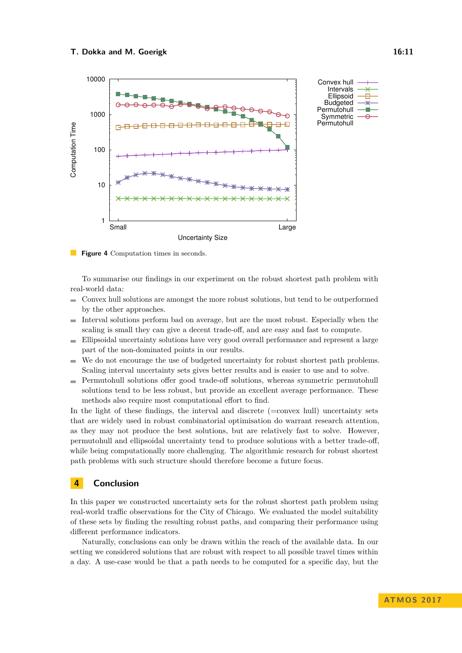<span id="page-10-1"></span>

**Figure 4** Computation times in seconds.

To summarise our findings in our experiment on the robust shortest path problem with real-world data:

- $\blacksquare$ Convex hull solutions are amongst the more robust solutions, but tend to be outperformed by the other approaches.
- Interval solutions perform bad on average, but are the most robust. Especially when the  $\blacksquare$ scaling is small they can give a decent trade-off, and are easy and fast to compute.
- Ellipsoidal uncertainty solutions have very good overall performance and represent a large  $\sim$ part of the non-dominated points in our results.
- We do not encourage the use of budgeted uncertainty for robust shortest path problems.  $\blacksquare$ Scaling interval uncertainty sets gives better results and is easier to use and to solve.
- Permutohull solutions offer good trade-off solutions, whereas symmetric permutohull  $\rightarrow$ solutions tend to be less robust, but provide an excellent average performance. These methods also require most computational effort to find.

In the light of these findings, the interval and discrete (=convex hull) uncertainty sets that are widely used in robust combinatorial optimisation do warrant research attention, as they may not produce the best solutions, but are relatively fast to solve. However, permutohull and ellipsoidal uncertainty tend to produce solutions with a better trade-off, while being computationally more challenging. The algorithmic research for robust shortest path problems with such structure should therefore become a future focus.

# <span id="page-10-0"></span>**4 Conclusion**

In this paper we constructed uncertainty sets for the robust shortest path problem using real-world traffic observations for the City of Chicago. We evaluated the model suitability of these sets by finding the resulting robust paths, and comparing their performance using different performance indicators.

Naturally, conclusions can only be drawn within the reach of the available data. In our setting we considered solutions that are robust with respect to all possible travel times within a day. A use-case would be that a path needs to be computed for a specific day, but the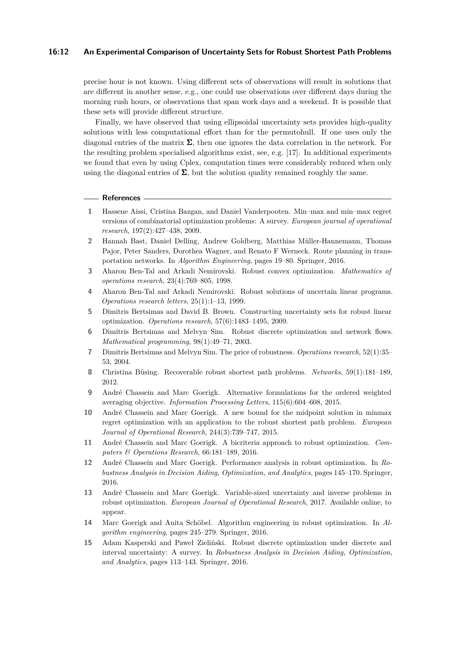#### **16:12 An Experimental Comparison of Uncertainty Sets for Robust Shortest Path Problems**

precise hour is not known. Using different sets of observations will result in solutions that are different in another sense, e.g., one could use observations over different days during the morning rush hours, or observations that span work days and a weekend. It is possible that these sets will provide different structure.

Finally, we have observed that using ellipsoidal uncertainty sets provides high-quality solutions with less computational effort than for the permutohull. If one uses only the diagonal entries of the matrix  $\Sigma$ , then one ignores the data correlation in the network. For the resulting problem specialised algorithms exist, see, e.g. [\[17\]](#page-12-3). In additional experiments we found that even by using Cplex, computation times were considerably reduced when only using the diagonal entries of  $\Sigma$ , but the solution quality remained roughly the same.

#### **References**

- <span id="page-11-1"></span>**1** Hassene Aissi, Cristina Bazgan, and Daniel Vanderpooten. Min–max and min–max regret versions of combinatorial optimization problems: A survey. *European journal of operational research*, 197(2):427–438, 2009.
- <span id="page-11-0"></span>**2** Hannah Bast, Daniel Delling, Andrew Goldberg, Matthias Müller-Hannemann, Thomas Pajor, Peter Sanders, Dorothea Wagner, and Renato F Werneck. Route planning in transportation networks. In *Algorithm Engineering*, pages 19–80. Springer, 2016.
- <span id="page-11-6"></span>**3** Aharon Ben-Tal and Arkadi Nemirovski. Robust convex optimization. *Mathematics of operations research*, 23(4):769–805, 1998.
- <span id="page-11-7"></span>**4** Aharon Ben-Tal and Arkadi Nemirovski. Robust solutions of uncertain linear programs. *Operations research letters*, 25(1):1–13, 1999.
- <span id="page-11-11"></span>**5** Dimitris Bertsimas and David B. Brown. Constructing uncertainty sets for robust linear optimization. *Operations research*, 57(6):1483–1495, 2009.
- <span id="page-11-8"></span>**6** Dimitris Bertsimas and Melvyn Sim. Robust discrete optimization and network flows. *Mathematical programming*, 98(1):49–71, 2003.
- <span id="page-11-9"></span>**7** Dimitris Bertsimas and Melvyn Sim. The price of robustness. *Operations research*, 52(1):35– 53, 2004.
- <span id="page-11-3"></span>**8** Christina Büsing. Recoverable robust shortest path problems. *Networks*, 59(1):181–189, 2012.
- <span id="page-11-12"></span>**9** André Chassein and Marc Goerigk. Alternative formulations for the ordered weighted averaging objective. *Information Processing Letters*, 115(6):604–608, 2015.
- <span id="page-11-5"></span>**10** André Chassein and Marc Goerigk. A new bound for the midpoint solution in minmax regret optimization with an application to the robust shortest path problem. *European Journal of Operational Research*, 244(3):739–747, 2015.
- <span id="page-11-14"></span>**11** André Chassein and Marc Goerigk. A bicriteria approach to robust optimization. *Computers & Operations Research*, 66:181–189, 2016.
- <span id="page-11-13"></span>**12** André Chassein and Marc Goerigk. Performance analysis in robust optimization. In *Robustness Analysis in Decision Aiding, Optimization, and Analytics*, pages 145–170. Springer, 2016.
- <span id="page-11-4"></span>**13** André Chassein and Marc Goerigk. Variable-sized uncertainty and inverse problems in robust optimization. *European Journal of Operational Research*, 2017. Available online, to appear.
- <span id="page-11-10"></span>**14** Marc Goerigk and Anita Schöbel. Algorithm engineering in robust optimization. In *Algorithm engineering*, pages 245–279. Springer, 2016.
- <span id="page-11-2"></span>**15** Adam Kasperski and Paweł Zieliński. Robust discrete optimization under discrete and interval uncertainty: A survey. In *Robustness Analysis in Decision Aiding, Optimization, and Analytics*, pages 113–143. Springer, 2016.